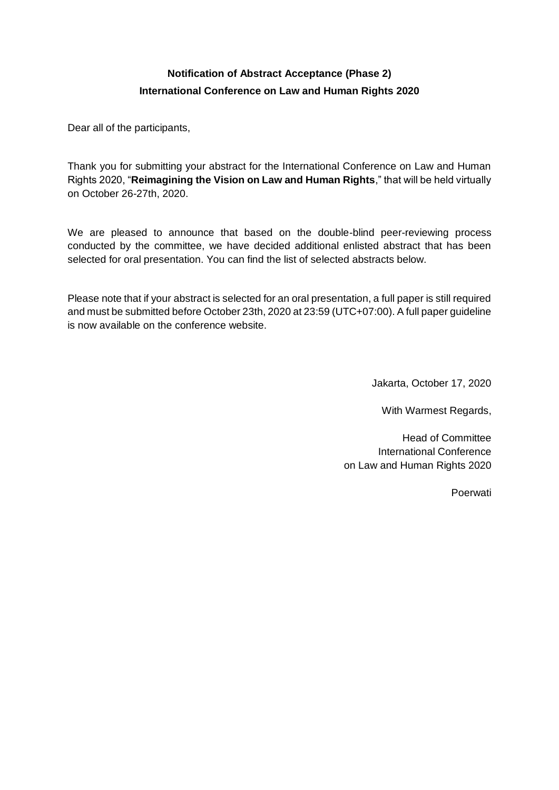## **Notification of Abstract Acceptance (Phase 2) International Conference on Law and Human Rights 2020**

Dear all of the participants,

Thank you for submitting your abstract for the International Conference on Law and Human Rights 2020, "**Reimagining the Vision on Law and Human Rights**," that will be held virtually on October 26-27th, 2020.

We are pleased to announce that based on the double-blind peer-reviewing process conducted by the committee, we have decided additional enlisted abstract that has been selected for oral presentation. You can find the list of selected abstracts below.

Please note that if your abstract is selected for an oral presentation, a full paper is still required and must be submitted before October 23th, 2020 at 23:59 (UTC+07:00). A full paper guideline is now available on the conference website.

Jakarta, October 17, 2020

With Warmest Regards,

Head of Committee International Conference on Law and Human Rights 2020

Poerwati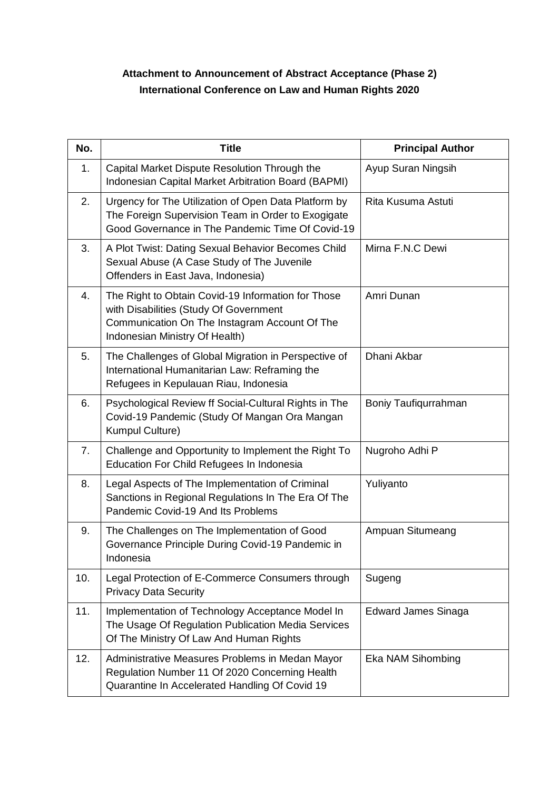## **Attachment to Announcement of Abstract Acceptance (Phase 2) International Conference on Law and Human Rights 2020**

| No. | <b>Title</b>                                                                                                                                                                    | <b>Principal Author</b>    |
|-----|---------------------------------------------------------------------------------------------------------------------------------------------------------------------------------|----------------------------|
| 1.  | Capital Market Dispute Resolution Through the<br>Indonesian Capital Market Arbitration Board (BAPMI)                                                                            | Ayup Suran Ningsih         |
| 2.  | Urgency for The Utilization of Open Data Platform by<br>The Foreign Supervision Team in Order to Exogigate<br>Good Governance in The Pandemic Time Of Covid-19                  | Rita Kusuma Astuti         |
| 3.  | A Plot Twist: Dating Sexual Behavior Becomes Child<br>Sexual Abuse (A Case Study of The Juvenile<br>Offenders in East Java, Indonesia)                                          | Mirna F.N.C Dewi           |
| 4.  | The Right to Obtain Covid-19 Information for Those<br>with Disabilities (Study Of Government<br>Communication On The Instagram Account Of The<br>Indonesian Ministry Of Health) | Amri Dunan                 |
| 5.  | The Challenges of Global Migration in Perspective of<br>International Humanitarian Law: Reframing the<br>Refugees in Kepulauan Riau, Indonesia                                  | Dhani Akbar                |
| 6.  | Psychological Review ff Social-Cultural Rights in The<br>Covid-19 Pandemic (Study Of Mangan Ora Mangan<br>Kumpul Culture)                                                       | Boniy Taufiqurrahman       |
| 7.  | Challenge and Opportunity to Implement the Right To<br><b>Education For Child Refugees In Indonesia</b>                                                                         | Nugroho Adhi P             |
| 8.  | Legal Aspects of The Implementation of Criminal<br>Sanctions in Regional Regulations In The Era Of The<br>Pandemic Covid-19 And Its Problems                                    | Yuliyanto                  |
| 9.  | The Challenges on The Implementation of Good<br>Governance Principle During Covid-19 Pandemic in<br>Indonesia                                                                   | Ampuan Situmeang           |
| 10. | Legal Protection of E-Commerce Consumers through<br><b>Privacy Data Security</b>                                                                                                | Sugeng                     |
| 11. | Implementation of Technology Acceptance Model In<br>The Usage Of Regulation Publication Media Services<br>Of The Ministry Of Law And Human Rights                               | <b>Edward James Sinaga</b> |
| 12. | Administrative Measures Problems in Medan Mayor<br>Regulation Number 11 Of 2020 Concerning Health<br>Quarantine In Accelerated Handling Of Covid 19                             | Eka NAM Sihombing          |